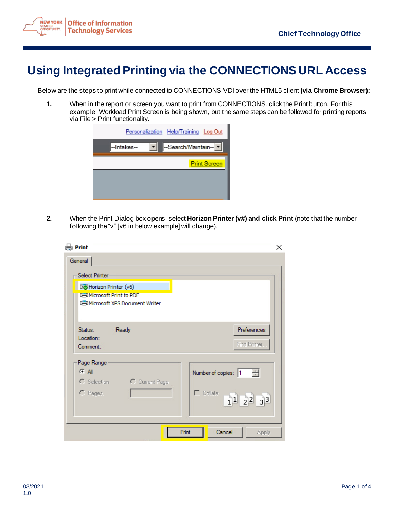

## **Using Integrated Printing via the CONNECTIONS URL Access**

Below are the steps to print while connected to CONNECTIONS VDI over the HTML5 client **(via Chrome Browser):**

**1.** When in the report or screen you want to print from CONNECTIONS, click the Print button. For this example, Workload Print Screen is being shown, but the same steps can be followed for printing reports via File > Print functionality.

|             | Personalization Help/Training Log Out |                     |
|-------------|---------------------------------------|---------------------|
| --Intakes-- | --Search/Maintain--                   |                     |
|             |                                       | <b>Print Screen</b> |
|             |                                       |                     |
|             |                                       |                     |

**2.** When the Print Dialog box opens, select **Horizon Printer (v#) and click Print** (note that the number following the "v" [v6 in below example] will change).

| <b>Print</b><br>General                                                                                                    | ×                                                                                        |
|----------------------------------------------------------------------------------------------------------------------------|------------------------------------------------------------------------------------------|
| Select Printer<br>Fo Horizon Printer (v6)<br><b>I-I Microsoft Print to PDF</b><br><b>I-I</b> Microsoft XPS Document Writer |                                                                                          |
| Status:<br>Ready<br>Location:<br>Comment:                                                                                  | Preferences<br>Find Printer                                                              |
| Page Range<br><b>CAI</b><br>C Selection<br>C Current Page<br>$C$ Pages:                                                    | $\frac{1}{\sqrt{2}}$<br>Number of copies: 1<br>$\Box$ Collate<br>$1^{1}$ $2^{2}$ $3^{3}$ |
|                                                                                                                            | Print<br>Cancel<br>Apply                                                                 |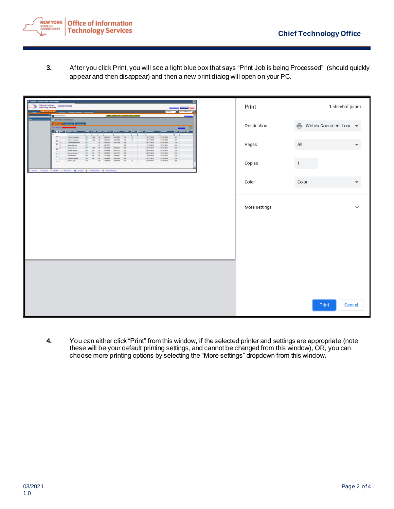

**3.** After you click Print, you will see a light blue box that says "Print Job is being Processed" (should quickly appear and then disappear) and then a new print dialog will open on your PC.

| В РИМО-СОЛНЕСТВОМ - Быба, Нера-<br>0<br>Office of Children<br>and Family Services<br>CONNECTIONS<br>諯<br><b>STATISTICS</b><br><b>CALL OR OT A DEAM</b><br>* Beach Maintain<br>CONNECTIONS Clinic to VOI Plus Period Sciencial<br>Port Scove                                                                                                                                                                                                                                                                                                                                                                                                                                                                                                                                                                                                                                                                                                                                                                                                                                                 | Print         | 1 sheet of paper    |
|---------------------------------------------------------------------------------------------------------------------------------------------------------------------------------------------------------------------------------------------------------------------------------------------------------------------------------------------------------------------------------------------------------------------------------------------------------------------------------------------------------------------------------------------------------------------------------------------------------------------------------------------------------------------------------------------------------------------------------------------------------------------------------------------------------------------------------------------------------------------------------------------------------------------------------------------------------------------------------------------------------------------------------------------------------------------------------------------|---------------|---------------------|
| $\odot$ =<br>My Workham   My Tortlow   My Uplands<br>oten E<br>Die Particular<br><b>The Hapter</b><br>  Rege   Type   Role   Regell3   <br>County   Zone   Agency   Start Colo<br>Case 1D<br>۰E                                                                                                                                                                                                                                                                                                                                                                                                                                                                                                                                                                                                                                                                                                                                                                                                                                                                                             | Destination   | Webex Document Load |
| $_{\rm 107}$<br>Thomas Stephan<br><b>ADD</b><br> em<br>10/17/200<br>01/09/2020<br><b>DO</b><br><b>CH</b><br>240 MARZIN<br>$\blacksquare$<br>00000000000<br>severo im<br><b>ADD</b><br>×.<br>10/17/2009<br>01/09/2020<br>$107$<br><b>Thomas Stephani</b><br><b>INT</b><br><b>PE</b><br>34440273<br>2411238 00<br>Joannano, Browly<br>$\mathbf{r}$<br>1700119<br>08/11/2010<br>07/15/2014<br>$\alpha$<br><b>INT</b><br><b>Hejer, Alexis &amp;</b><br><b>DRO</b><br>07/18/2014<br><b>CMX</b><br><b>INC</b><br>$\mathbf{H}$<br><b>SERVICE</b><br>11/30/3012<br>180<br>CMC<br>видан<br>07/15/2014<br>Regina, Virian<br>атимии<br><b>INT</b><br><b>ADD</b><br>$-10$<br>24542011<br><b>Brown, Shellard T</b><br><b>DAY</b><br><b>IN</b><br><b>PE</b><br>2700AM<br>24910733<br><b>DRO</b><br>08/03/2010<br>07/18/2014<br><b>CMX</b><br><b>Brown Shelters T</b><br>1491033 080<br>08/09/2010<br>07/18/2014<br><b>CMX</b><br><b>DAY</b><br><b>DO</b><br>3700AM<br><b>Gives, Januar</b><br>$\overline{1}$<br>$\mathbf{r}$<br>злими<br>2484401<br>EBD<br>10/20/2010<br>07/15/2014<br>case<br><b>DAY</b> | Pages         | All                 |
| <b>INC</b><br>8010201<br>covinizers.<br>CMC<br>27594332<br><b>SIZAINE</b><br><b><i><u>Danmin, Ingela</u></i></b><br><b>DAY</b><br><b>Inc</b><br>$\mathbf{r}$<br>Wism, John<br>1100100<br>2760029<br>$\mathbf{m}$<br>понан<br>03/09/2021<br>$\mathbf{m}$<br>ani<br>турного «Северного функция» объединые (сручение функция) (будежность                                                                                                                                                                                                                                                                                                                                                                                                                                                                                                                                                                                                                                                                                                                                                      | Copies        |                     |
|                                                                                                                                                                                                                                                                                                                                                                                                                                                                                                                                                                                                                                                                                                                                                                                                                                                                                                                                                                                                                                                                                             | Color         | Color               |
|                                                                                                                                                                                                                                                                                                                                                                                                                                                                                                                                                                                                                                                                                                                                                                                                                                                                                                                                                                                                                                                                                             | More settings | $\checkmark$        |
|                                                                                                                                                                                                                                                                                                                                                                                                                                                                                                                                                                                                                                                                                                                                                                                                                                                                                                                                                                                                                                                                                             |               |                     |
|                                                                                                                                                                                                                                                                                                                                                                                                                                                                                                                                                                                                                                                                                                                                                                                                                                                                                                                                                                                                                                                                                             |               |                     |
|                                                                                                                                                                                                                                                                                                                                                                                                                                                                                                                                                                                                                                                                                                                                                                                                                                                                                                                                                                                                                                                                                             |               |                     |
|                                                                                                                                                                                                                                                                                                                                                                                                                                                                                                                                                                                                                                                                                                                                                                                                                                                                                                                                                                                                                                                                                             |               |                     |
|                                                                                                                                                                                                                                                                                                                                                                                                                                                                                                                                                                                                                                                                                                                                                                                                                                                                                                                                                                                                                                                                                             |               | Print<br>Cancel     |

**4.** You can either click "Print" from this window, if the selected printer and settings are appropriate (note these will be your default printing settings, and cannot be changed from this window), OR, you can choose more printing options by selecting the "More settings" dropdown from this window.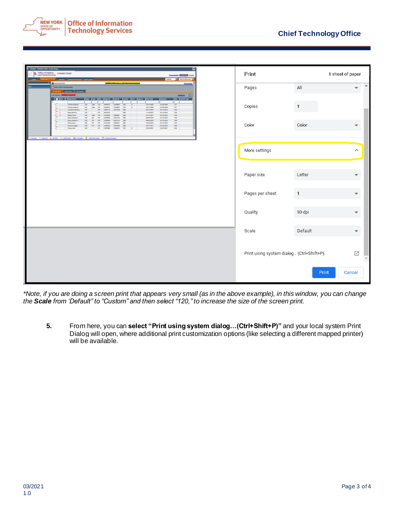

| □<br>Office of Children COWNECTIONS<br>添                                                                                                                                                                                                                                                                                                                                                                                                                                                                                                                              | Print                                    |                        | 1 sheet of paper             |
|-----------------------------------------------------------------------------------------------------------------------------------------------------------------------------------------------------------------------------------------------------------------------------------------------------------------------------------------------------------------------------------------------------------------------------------------------------------------------------------------------------------------------------------------------------------------------|------------------------------------------|------------------------|------------------------------|
| and Family Services                                                                                                                                                                                                                                                                                                                                                                                                                                                                                                                                                   |                                          |                        |                              |
| CONNECTIONS Clinic to VDI Pitel Period Extended<br>$\odot$ =<br><b>Activities Contract Contract</b><br><b>My More</b><br><b>Bit det</b>                                                                                                                                                                                                                                                                                                                                                                                                                               | Pages                                    | $\mathbb{A}\mathbb{I}$ | ᅀ<br>$\overline{\mathbf{v}}$ |
| <b>College Library</b><br>Facility Type<br>Ŧ<br>गा<br>10/17/2009<br>01/09/2020<br>$_{\rm H7}$<br>Thomas Steel<br><b>SAFANIEN</b><br>E10<br>E<br><b>END</b><br>10/17/2009<br>01/09/2020<br>127<br>Thomas Strahan<br>240 MILENS<br>$\blacksquare$<br><b>DR</b><br>09/11/2010<br>07/15/2014<br>$1$<br><b>Harter Alexis &amp;</b><br>10/30/3012<br>03/06/2014<br>ckx<br><b>DRO</b><br>c.<br><b>BUSINESS</b><br><b>Regina, Vivian</b><br><b>DR</b><br>07/15/2014<br><b>CKX</b><br><b>DR</b><br>08/03/2010<br>07/15/2014<br>$1$<br><b>Brown Division 1</b><br><b>MARTIN</b> | Copies                                   |                        |                              |
| 06/03/3093<br>07/18/2014<br>case<br><b>Brown Ste</b><br>$1$<br>10/20/3010<br>07/15/2014<br>$_{\rm CKK}$<br>80110011<br>07/15/2014<br>tic<br>$_{\rm BH}$<br>почан<br>03/09/2021                                                                                                                                                                                                                                                                                                                                                                                        | Color                                    | $\text{Color}$         | $\overline{\phantom{a}}$     |
| гление «Лерия флисия «Станден» (0) серия \$ лексерник (5) политокус                                                                                                                                                                                                                                                                                                                                                                                                                                                                                                   |                                          |                        |                              |
|                                                                                                                                                                                                                                                                                                                                                                                                                                                                                                                                                                       | More settings                            |                        | $\hat{\phantom{a}}$          |
|                                                                                                                                                                                                                                                                                                                                                                                                                                                                                                                                                                       | Paper size                               | Letter                 | $\overline{\phantom{a}}$     |
|                                                                                                                                                                                                                                                                                                                                                                                                                                                                                                                                                                       | Pages per sheet                          | $\mathbf{1}$           | ▼                            |
|                                                                                                                                                                                                                                                                                                                                                                                                                                                                                                                                                                       | Quality                                  | 90 dpi                 | $\overline{\phantom{a}}$     |
|                                                                                                                                                                                                                                                                                                                                                                                                                                                                                                                                                                       | Scale                                    | Default                | $\overline{\phantom{a}}$     |
|                                                                                                                                                                                                                                                                                                                                                                                                                                                                                                                                                                       | Print using system dialog (Ctrl+Shift+P) |                        | Z                            |
|                                                                                                                                                                                                                                                                                                                                                                                                                                                                                                                                                                       |                                          | Print                  | Cancel                       |

*\*Note, if you are doing a screen print that appears very small (as in the above example), in this window, you can change the Scale from 'Default" to "Custom" and then select "120," to increase the size of the screen print.*

**5.** From here, you can **select "Print using system dialog…(Ctrl+Shift+P)"** and your local system Print Dialog will open, where additional print customization options (like selecting a different mapped printer) will be available.